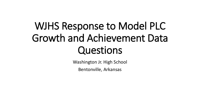# WJHS Response to Model PLC Growth and Achievement Data Questions

Washington Jr. High School

Bentonville, Arkansas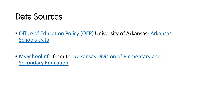### Data Sources

- [Office of Education Policy \(OEP\)](http://www.officeforeducationpolicy.org/arkansas-schools-data-recognition-data-and-letter-grades/) University of Arkansas-Arkansas Schools Data
- [MySchoolInfo](https://myschoolinfo.arkansas.gov/) [from the Arkansas Division of Elementary and](https://dese.ade.arkansas.gov/)  Secondary Education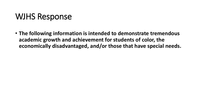### WJHS Response

• **The following information is intended to demonstrate tremendous academic growth and achievement for students of color, the economically disadvantaged, and/or those that have special needs.**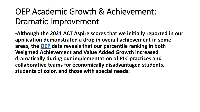## OEP Academic Growth & Achievement: Dramatic Improvement

**-Although the 2021 ACT Aspire scores that we initially reported in our application demonstrated a drop in overall achievement in some areas, the [OEP](https://www.officeforeducationpolicy.org/) data reveals that our percentile ranking in both Weighted Achievement and Value Added Growth increased dramatically during our implementation of PLC practices and collaborative teams for economically disadvantaged students, students of color, and those with special needs.**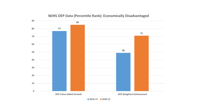

#### **WJHS OEP Data (Percentile Rank): Economically Disadvantaged**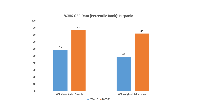

#### **WJHS OEP Data (Percentile Rank): Hispanic**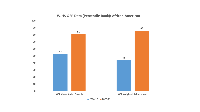

#### **WJHS OEP Data (Percentile Rank): African-American**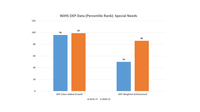

#### **WJHS OEP Data (Percentile Rank): Special Needs**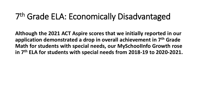## 7 th Grade ELA: Economically Disadvantaged

**Although the 2021 ACT Aspire scores that we initially reported in our application demonstrated a drop in overall achievement in 7th Grade Math for students with special needs, our MySchooIInfo Growth rose in 7th ELA for students with special needs from 2018-19 to 2020-2021.**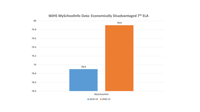

#### **WJHS MySchoolInfo Data: Economically Disadvantaged 7th ELA**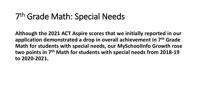## 7 th Grade Math: Special Needs

**Although the 2021 ACT Aspire scores that we initially reported in our application demonstrated a drop in overall achievement in 7th Grade Math for students with special needs, our MySchooIInfo Growth rose two points in 7th Math for students with special needs from 2018-19 to 2020-2021.**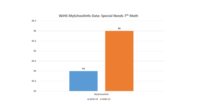

#### **WJHS MySchoolInfo Data: Special Needs 7th Math**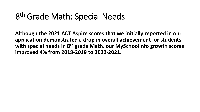## 8<sup>th</sup> Grade Math: Special Needs

**Although the 2021 ACT Aspire scores that we initially reported in our application demonstrated a drop in overall achievement for students with special needs in 8th grade Math, our MySchoolInfo growth scores improved 4% from 2018-2019 to 2020-2021.**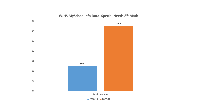

#### **WJHS MySchoolInfo Data: Special Needs 8th Math**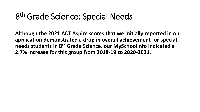## 8 th Grade Science: Special Needs

**Although the 2021 ACT Aspire scores that we initially reported in our application demonstrated a drop in overall achievement for special needs students in 8th Grade Science, our MySchoolInfo indicated a 2.7% increase for this group from 2018-19 to 2020-2021.**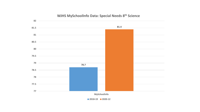

#### **WJHS MySchoolInfo Data: Special Needs 8th Science**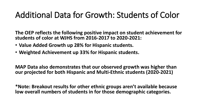## Additional Data for Growth: Students of Color

**The OEP reflects the following positive impact on student achievement for students of color at WJHS from 2016-2017 to 2020-2021:**

- **Value Added Growth up 28% for Hispanic students.**
- **Weighted Achievement up 33% for Hispanic students.**

**MAP Data also demonstrates that our observed growth was higher than our projected for both Hispanic and Multi-Ethnic students (2020-2021)**

**\*Note: Breakout results for other ethnic groups aren't available because low overall numbers of students in for those demographic categories.**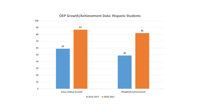

#### **OEP Growth/Achievement Data: Hispanic Students**

**2016-2017 2020-2021**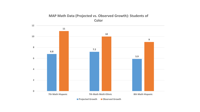### **MAP Math Data (Projected vs. Observed Growth): Students of Color**

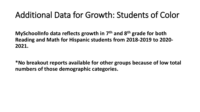### Additional Data for Growth: Students of Color

**MySchoolInfo data reflects growth in 7th and 8th grade for both Reading and Math for Hispanic students from 2018-2019 to 2020- 2021.**

**\*No breakout reports available for other groups because of low total numbers of those demographic categories.**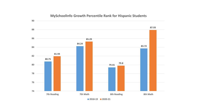

#### **MySchoolInfo Growth Percentile Rank for Hispanic Students**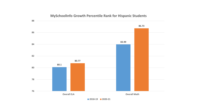

#### **MySchoolInfo Growth Percentile Rank for Hispanic Students**

**2018-19 2020-21**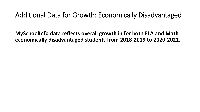### Additional Data for Growth: Economically Disadvantaged

**MySchoolInfo data reflects overall growth in for both ELA and Math economically disadvantaged students from 2018-2019 to 2020-2021.**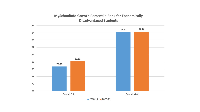#### **MySchoolInfo Growth Percentile Rank for Economically Disadvantaged Students**

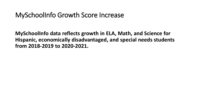### MySchoolInfo Growth Score Increase

**MySchoolInfo data reflects growth in ELA, Math, and Science for Hispanic, economically disadvantaged, and special needs students from 2018-2019 to 2020-2021.**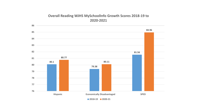#### **Overall Reading WJHS MySchoolInfo Growth Scores 2018-19 to 2020-2021**

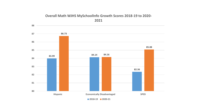#### **Overall Math WJHS MySchoolInfo Growth Scores 2018-19 to 2020- 2021**

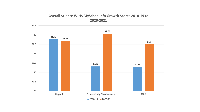#### **Overall Science WJHS MySchoolInfo Growth Scores 2018-19 to 2020-2021**